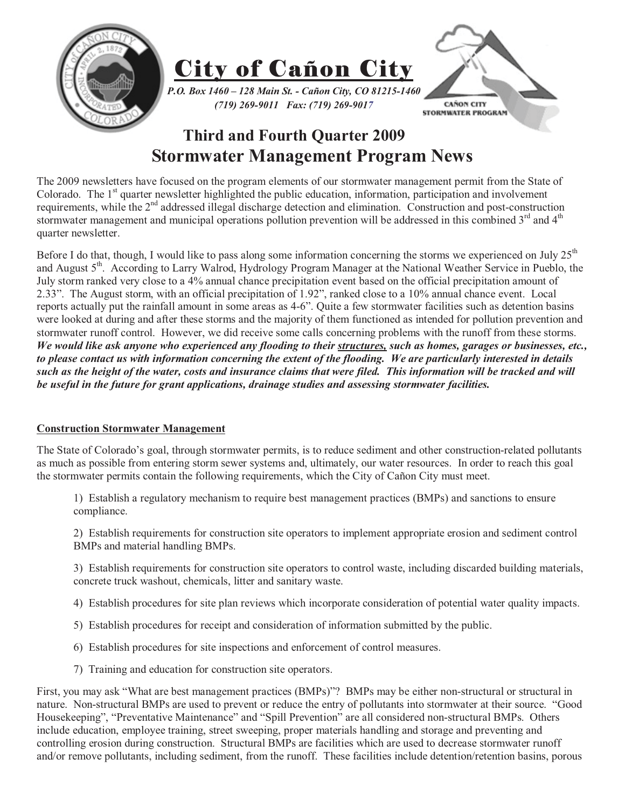

# **Third and Fourth Quarter 2009 Stormwater Management Program News**

The 2009 newsletters have focused on the program elements of our stormwater management permit from the State of Colorado. The 1<sup>st</sup> quarter newsletter highlighted the public education, information, participation and involvement requirements, while the 2nd addressed illegal discharge detection and elimination. Construction and post-construction stormwater management and municipal operations pollution prevention will be addressed in this combined  $3<sup>rd</sup>$  and  $4<sup>th</sup>$ quarter newsletter.

Before I do that, though, I would like to pass along some information concerning the storms we experienced on July  $25<sup>th</sup>$ and August 5<sup>th</sup>. According to Larry Walrod, Hydrology Program Manager at the National Weather Service in Pueblo, the July storm ranked very close to a 4% annual chance precipitation event based on the official precipitation amount of 2.33". The August storm, with an official precipitation of 1.92", ranked close to a 10% annual chance event. Local reports actually put the rainfall amount in some areas as 4-6". Quite a few stormwater facilities such as detention basins were looked at during and after these storms and the majority of them functioned as intended for pollution prevention and stormwater runoff control. However, we did receive some calls concerning problems with the runoff from these storms. *We would like ask anyone who experienced any flooding to their structures, such as homes, garages or businesses, etc., to please contact us with information concerning the extent of the flooding. We are particularly interested in details such as the height of the water, costs and insurance claims that were filed. This information will be tracked and will be useful in the future for grant applications, drainage studies and assessing stormwater facilities.*

# **Construction Stormwater Management**

The State of Colorado's goal, through stormwater permits, is to reduce sediment and other construction-related pollutants as much as possible from entering storm sewer systems and, ultimately, our water resources. In order to reach this goal the stormwater permits contain the following requirements, which the City of Cañon City must meet.

1) Establish a regulatory mechanism to require best management practices (BMPs) and sanctions to ensure compliance.

2) Establish requirements for construction site operators to implement appropriate erosion and sediment control BMPs and material handling BMPs.

3) Establish requirements for construction site operators to control waste, including discarded building materials, concrete truck washout, chemicals, litter and sanitary waste.

- 4) Establish procedures for site plan reviews which incorporate consideration of potential water quality impacts.
- 5) Establish procedures for receipt and consideration of information submitted by the public.
- 6) Establish procedures for site inspections and enforcement of control measures.
- 7) Training and education for construction site operators.

First, you may ask "What are best management practices (BMPs)"? BMPs may be either non-structural or structural in nature. Non-structural BMPs are used to prevent or reduce the entry of pollutants into stormwater at their source. "Good Housekeeping", "Preventative Maintenance" and "Spill Prevention" are all considered non-structural BMPs. Others include education, employee training, street sweeping, proper materials handling and storage and preventing and controlling erosion during construction. Structural BMPs are facilities which are used to decrease stormwater runoff and/or remove pollutants, including sediment, from the runoff. These facilities include detention/retention basins, porous